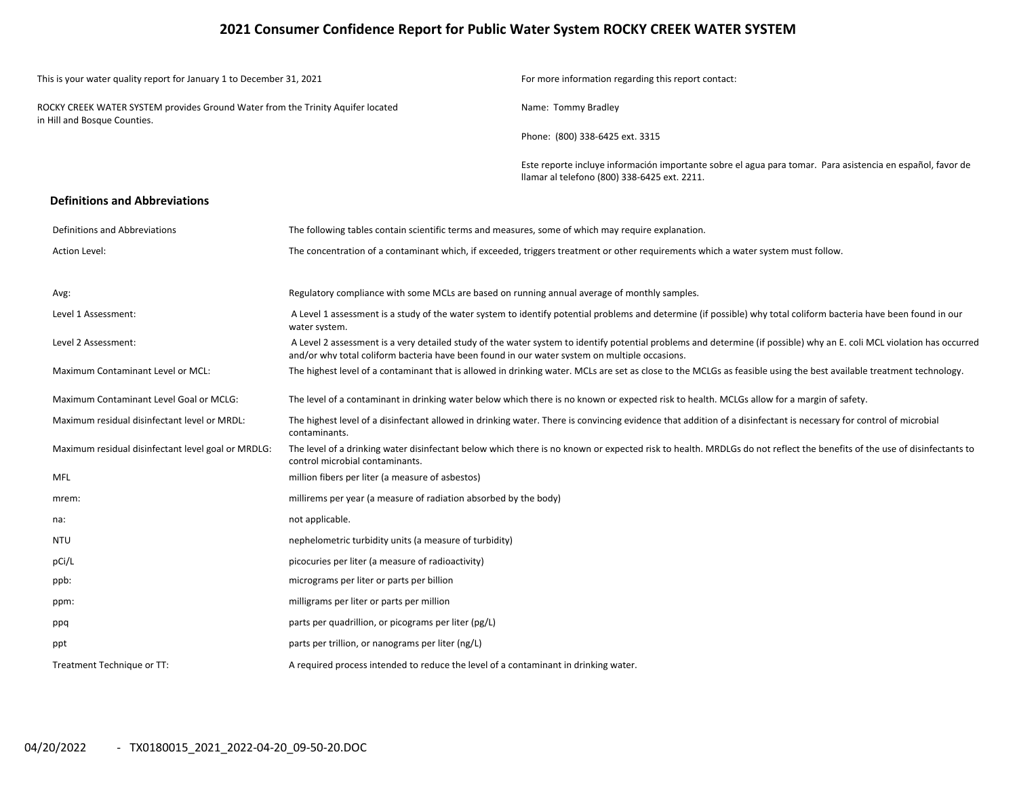### **2021 Consumer Confidence Report for Public Water System ROCKY CREEK WATER SYSTEM**

| This is your water quality report for January 1 to December 31, 2021                                            |                                                                                                    | For more information regarding this report contact:                                                                                                                    |  |  |  |  |
|-----------------------------------------------------------------------------------------------------------------|----------------------------------------------------------------------------------------------------|------------------------------------------------------------------------------------------------------------------------------------------------------------------------|--|--|--|--|
| ROCKY CREEK WATER SYSTEM provides Ground Water from the Trinity Aquifer located<br>in Hill and Bosque Counties. |                                                                                                    | Name: Tommy Bradley                                                                                                                                                    |  |  |  |  |
|                                                                                                                 |                                                                                                    | Phone: (800) 338-6425 ext. 3315                                                                                                                                        |  |  |  |  |
|                                                                                                                 |                                                                                                    | Este reporte incluye información importante sobre el agua para tomar. Para asistencia en español, favor de<br>Ilamar al telefono (800) 338-6425 ext. 2211.             |  |  |  |  |
| <b>Definitions and Abbreviations</b>                                                                            |                                                                                                    |                                                                                                                                                                        |  |  |  |  |
| Definitions and Abbreviations                                                                                   | The following tables contain scientific terms and measures, some of which may require explanation. |                                                                                                                                                                        |  |  |  |  |
| Action Level:                                                                                                   |                                                                                                    | The concentration of a contaminant which, if exceeded, triggers treatment or other requirements which a water system must follow.                                      |  |  |  |  |
| Avg:                                                                                                            | Regulatory compliance with some MCLs are based on running annual average of monthly samples.       |                                                                                                                                                                        |  |  |  |  |
| Level 1 Assessment:                                                                                             | water system.                                                                                      | A Level 1 assessment is a study of the water system to identify potential problems and determine (if possible) why total coliform bacteria have been found in our      |  |  |  |  |
| Level 2 Assessment:                                                                                             | and/or why total coliform bacteria have been found in our water system on multiple occasions.      | A Level 2 assessment is a very detailed study of the water system to identify potential problems and determine (if possible) why an E. coli MCL violation has occurred |  |  |  |  |
| Maximum Contaminant Level or MCL:                                                                               |                                                                                                    | The highest level of a contaminant that is allowed in drinking water. MCLs are set as close to the MCLGs as feasible using the best available treatment technology.    |  |  |  |  |
| Maximum Contaminant Level Goal or MCLG:                                                                         |                                                                                                    | The level of a contaminant in drinking water below which there is no known or expected risk to health. MCLGs allow for a margin of safety.                             |  |  |  |  |
| Maximum residual disinfectant level or MRDL:                                                                    | contaminants.                                                                                      | The highest level of a disinfectant allowed in drinking water. There is convincing evidence that addition of a disinfectant is necessary for control of microbial      |  |  |  |  |
| Maximum residual disinfectant level goal or MRDLG:                                                              | control microbial contaminants.                                                                    | The level of a drinking water disinfectant below which there is no known or expected risk to health. MRDLGs do not reflect the benefits of the use of disinfectants to |  |  |  |  |
| <b>MFL</b>                                                                                                      | million fibers per liter (a measure of asbestos)                                                   |                                                                                                                                                                        |  |  |  |  |
| mrem:                                                                                                           | millirems per year (a measure of radiation absorbed by the body)                                   |                                                                                                                                                                        |  |  |  |  |
| na:                                                                                                             | not applicable.                                                                                    |                                                                                                                                                                        |  |  |  |  |
| <b>NTU</b>                                                                                                      | nephelometric turbidity units (a measure of turbidity)                                             |                                                                                                                                                                        |  |  |  |  |
| pCi/L                                                                                                           | picocuries per liter (a measure of radioactivity)                                                  |                                                                                                                                                                        |  |  |  |  |
| ppb:                                                                                                            | micrograms per liter or parts per billion                                                          |                                                                                                                                                                        |  |  |  |  |
| ppm:                                                                                                            | milligrams per liter or parts per million                                                          |                                                                                                                                                                        |  |  |  |  |
| ppq                                                                                                             | parts per quadrillion, or picograms per liter (pg/L)                                               |                                                                                                                                                                        |  |  |  |  |
| ppt                                                                                                             | parts per trillion, or nanograms per liter (ng/L)                                                  |                                                                                                                                                                        |  |  |  |  |
| Treatment Technique or TT:                                                                                      | A required process intended to reduce the level of a contaminant in drinking water.                |                                                                                                                                                                        |  |  |  |  |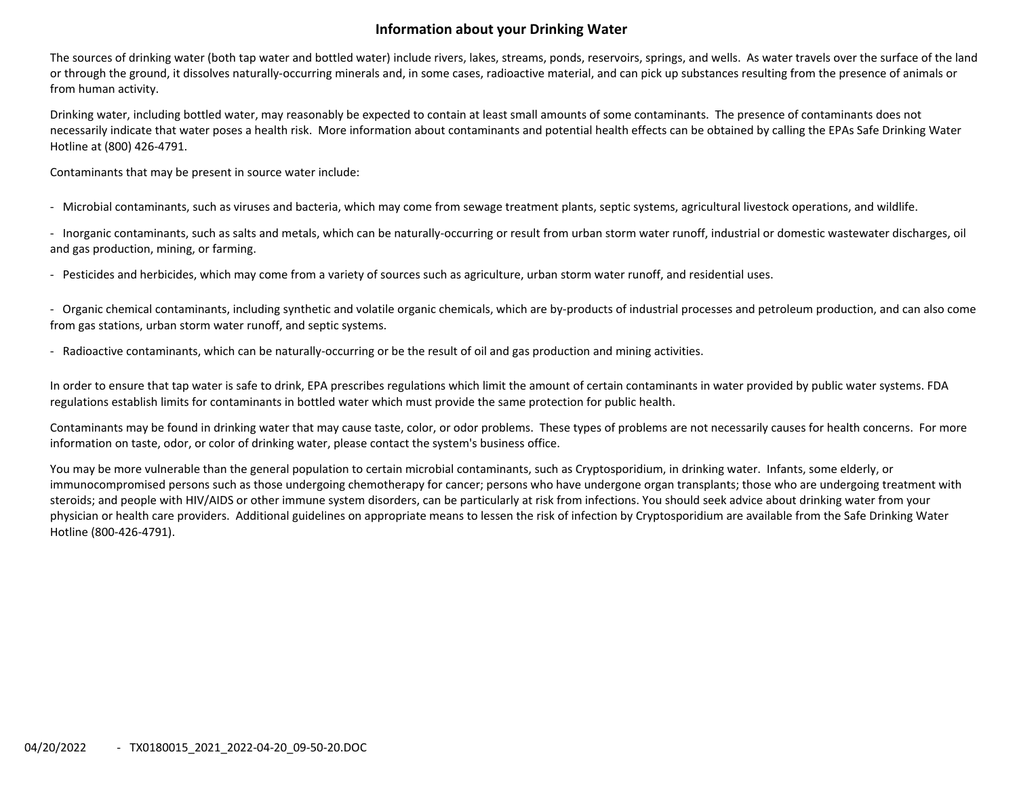## **Information about your Drinking Water**

The sources of drinking water (both tap water and bottled water) include rivers, lakes, streams, ponds, reservoirs, springs, and wells. As water travels over the surface of the land or through the ground, it dissolves naturally‐occurring minerals and, in some cases, radioactive material, and can pick up substances resulting from the presence of animals or from human activity.

Drinking water, including bottled water, may reasonably be expected to contain at least small amounts of some contaminants. The presence of contaminants does not necessarily indicate that water poses <sup>a</sup> health risk. More information about contaminants and potential health effects can be obtained by calling the EPAs Safe Drinking Water Hotline at (800) 426‐4791.

Contaminants that may be present in source water include:

‐ Microbial contaminants, such as viruses and bacteria, which may come from sewage treatment plants, septic systems, agricultural livestock operations, and wildlife.

‐ Inorganic contaminants, such as salts and metals, which can be naturally‐occurring or result from urban storm water runoff, industrial or domestic wastewater discharges, oil and gas production, mining, or farming.

‐ Pesticides and herbicides, which may come from <sup>a</sup> variety of sources such as agriculture, urban storm water runoff, and residential uses.

‐ Organic chemical contaminants, including synthetic and volatile organic chemicals, which are by‐products of industrial processes and petroleum production, and can also come from gas stations, urban storm water runoff, and septic systems.

‐ Radioactive contaminants, which can be naturally‐occurring or be the result of oil and gas production and mining activities.

In order to ensure that tap water is safe to drink, EPA prescribes regulations which limit the amount of certain contaminants in water provided by public water systems. FDA regulations establish limits for contaminants in bottled water which must provide the same protection for public health.

Contaminants may be found in drinking water that may cause taste, color, or odor problems. These types of problems are not necessarily causes for health concerns. For more information on taste, odor, or color of drinking water, please contact the system's business office.

You may be more vulnerable than the general population to certain microbial contaminants, such as Cryptosporidium, in drinking water. Infants, some elderly, or immunocompromised persons such as those undergoing chemotherapy for cancer; persons who have undergone organ transplants; those who are undergoing treatment with steroids; and people with HIV/AIDS or other immune system disorders, can be particularly at risk from infections. You should seek advice about drinking water from your physician or health care providers. Additional guidelines on appropriate means to lessen the risk of infection by Cryptosporidium are available from the Safe Drinking Water Hotline (800‐426‐4791).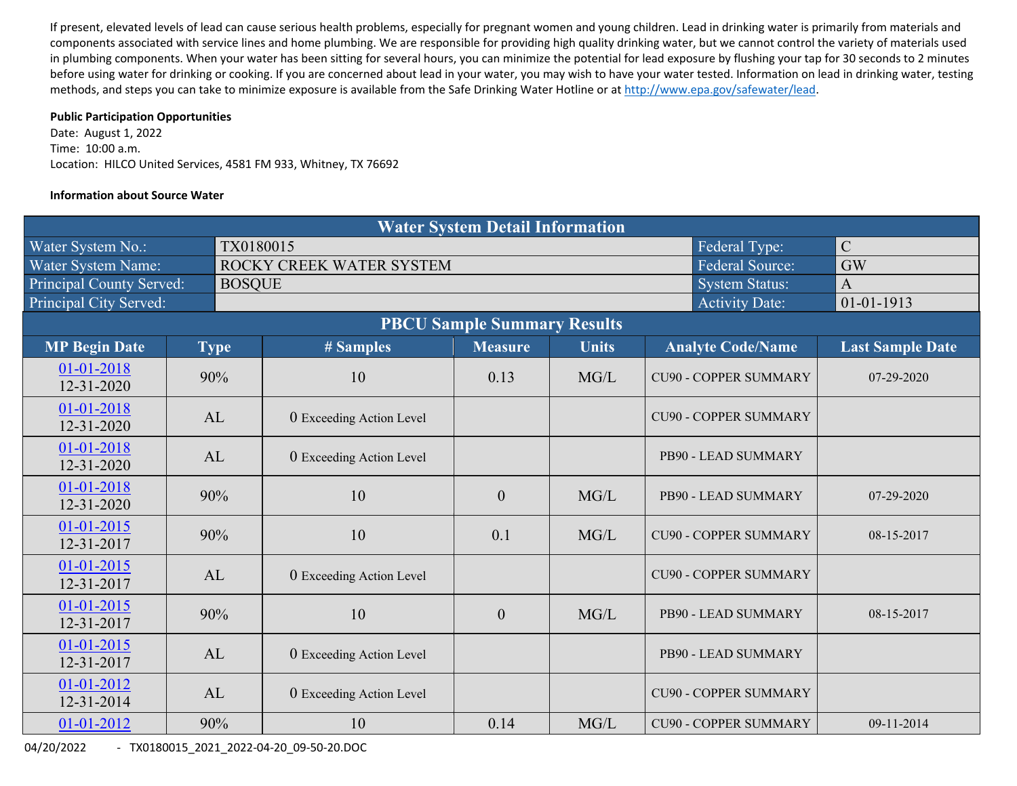If present, elevated levels of lead can cause serious health problems, especially for pregnant women and young children. Lead in drinking water is primarily from materials and components associated with service lines and home plumbing. We are responsible for providing high quality drinking water, but we cannot control the variety of materials used in plumbing components. When your water has been sitting for several hours, you can minimize the potential for lead exposure by flushing your tap for 30 seconds to 2 minutes before using water for drinking or cooking. If you are concerned about lead in your water, you may wish to have your water tested. Information on lead in drinking water, testing methods, and steps you can take to minimize exposure is available from the Safe Drinking Water Hotline or at http://www.epa.gov/safewater/lead.

#### **Public Participation Opportunities**

Date: August 1, 2022 Time: 10:00 a.m. Location: HILCO United Services, 4581 FM 933, Whitney, TX 76692

#### **Information about Source Water**

| <b>Water System Detail Information</b> |  |               |                          |                |              |                              |                         |  |  |  |  |
|----------------------------------------|--|---------------|--------------------------|----------------|--------------|------------------------------|-------------------------|--|--|--|--|
| Water System No.:                      |  | TX0180015     |                          |                |              | Federal Type:                | $\mathcal{C}$           |  |  |  |  |
| Water System Name:                     |  |               | ROCKY CREEK WATER SYSTEM |                |              | <b>Federal Source:</b>       | <b>GW</b>               |  |  |  |  |
| Principal County Served:               |  | <b>BOSQUE</b> |                          |                |              | <b>System Status:</b>        | $\overline{A}$          |  |  |  |  |
| Principal City Served:                 |  |               |                          |                |              | <b>Activity Date:</b>        | $01 - 01 - 1913$        |  |  |  |  |
| <b>PBCU Sample Summary Results</b>     |  |               |                          |                |              |                              |                         |  |  |  |  |
| <b>MP Begin Date</b>                   |  | <b>Type</b>   | # Samples                | <b>Measure</b> | <b>Units</b> | <b>Analyte Code/Name</b>     | <b>Last Sample Date</b> |  |  |  |  |
| 01-01-2018<br>12-31-2020               |  | 90%           | 10                       | 0.13           | MG/L         | <b>CU90 - COPPER SUMMARY</b> | 07-29-2020              |  |  |  |  |
| 01-01-2018<br>12-31-2020               |  | AL            | 0 Exceeding Action Level |                |              | <b>CU90 - COPPER SUMMARY</b> |                         |  |  |  |  |
| 01-01-2018<br>12-31-2020               |  | AL            | 0 Exceeding Action Level |                |              | PB90 - LEAD SUMMARY          |                         |  |  |  |  |
| $01 - 01 - 2018$<br>12-31-2020         |  | 90%           | 10                       | $\overline{0}$ | MG/L         | PB90 - LEAD SUMMARY          | 07-29-2020              |  |  |  |  |
| $01 - 01 - 2015$<br>12-31-2017         |  | 90%           | 10                       | 0.1            | MG/L         | <b>CU90 - COPPER SUMMARY</b> | 08-15-2017              |  |  |  |  |
| 01-01-2015<br>12-31-2017               |  | AL            | 0 Exceeding Action Level |                |              | <b>CU90 - COPPER SUMMARY</b> |                         |  |  |  |  |
| $01 - 01 - 2015$<br>12-31-2017         |  | 90%           | 10                       | $\mathbf{0}$   | MG/L         | PB90 - LEAD SUMMARY          | 08-15-2017              |  |  |  |  |
| $01-01-2015$<br>12-31-2017             |  | AL            | 0 Exceeding Action Level |                |              | PB90 - LEAD SUMMARY          |                         |  |  |  |  |
| 01-01-2012<br>12-31-2014               |  | AL            | 0 Exceeding Action Level |                |              | <b>CU90 - COPPER SUMMARY</b> |                         |  |  |  |  |
| 01-01-2012                             |  | 90%           | 10                       | 0.14           | MG/L         | <b>CU90 - COPPER SUMMARY</b> | 09-11-2014              |  |  |  |  |

04/20/2022 ‐ TX0180015\_2021\_2022‐04‐20\_09‐50‐20.DOC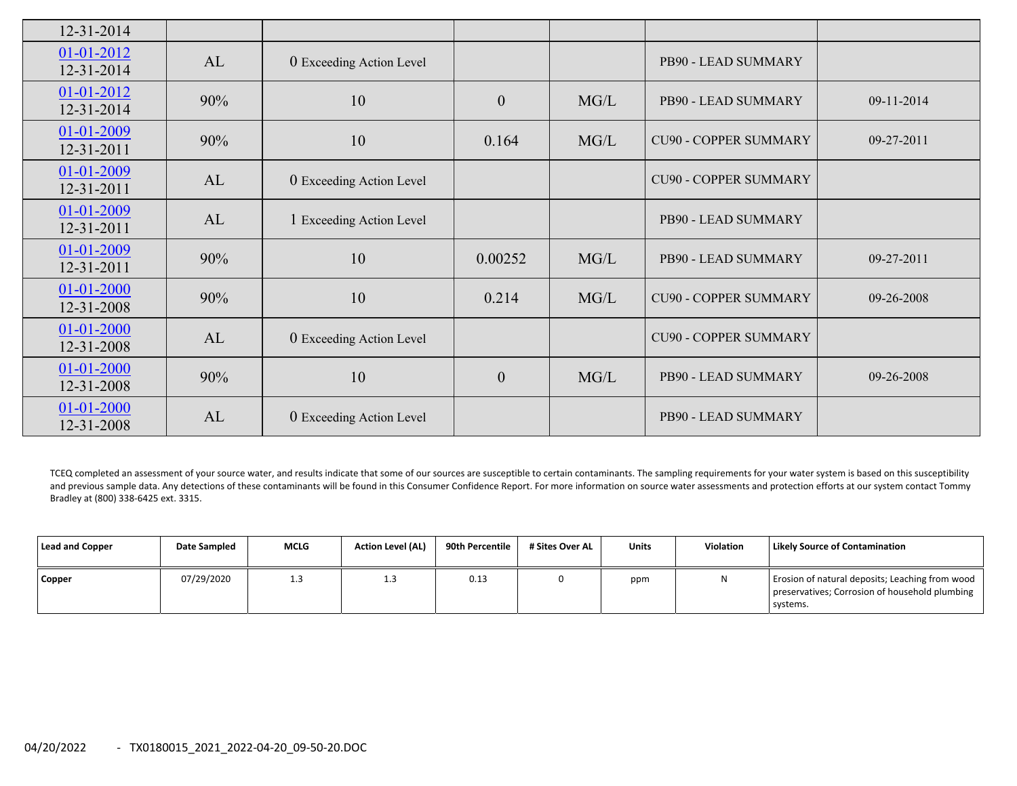| 12-31-2014               |     |                          |                  |      |                              |                  |
|--------------------------|-----|--------------------------|------------------|------|------------------------------|------------------|
| 01-01-2012<br>12-31-2014 | AL  | 0 Exceeding Action Level |                  |      | PB90 - LEAD SUMMARY          |                  |
| 01-01-2012<br>12-31-2014 | 90% | 10                       | $\boldsymbol{0}$ | MG/L | PB90 - LEAD SUMMARY          | 09-11-2014       |
| 01-01-2009<br>12-31-2011 | 90% | 10                       | 0.164            | MG/L | <b>CU90 - COPPER SUMMARY</b> | 09-27-2011       |
| 01-01-2009<br>12-31-2011 | AL  | 0 Exceeding Action Level |                  |      | <b>CU90 - COPPER SUMMARY</b> |                  |
| 01-01-2009<br>12-31-2011 | AL  | 1 Exceeding Action Level |                  |      | PB90 - LEAD SUMMARY          |                  |
| 01-01-2009<br>12-31-2011 | 90% | 10                       | 0.00252          | MG/L | PB90 - LEAD SUMMARY          | $09 - 27 - 2011$ |
| 01-01-2000<br>12-31-2008 | 90% | 10                       | 0.214            | MG/L | <b>CU90 - COPPER SUMMARY</b> | 09-26-2008       |
| 01-01-2000<br>12-31-2008 | AL  | 0 Exceeding Action Level |                  |      | <b>CU90 - COPPER SUMMARY</b> |                  |
| 01-01-2000<br>12-31-2008 | 90% | 10                       | $\boldsymbol{0}$ | MG/L | PB90 - LEAD SUMMARY          | 09-26-2008       |
| 01-01-2000<br>12-31-2008 | AL  | 0 Exceeding Action Level |                  |      | PB90 - LEAD SUMMARY          |                  |

TCEQ completed an assessment of your source water, and results indicate that some of our sources are susceptible to certain contaminants. The sampling requirements for your water system is based on this susceptibility and previous sample data. Any detections of these contaminants will be found in this Consumer Confidence Report. For more information on source water assessments and protection efforts at our system contact Tommy Bradley at (800) 338‐6425 ext. 3315.

| <b>Lead and Copper</b> | Date Sampled | <b>MCLG</b> | <b>Action Level (AL)</b> | 90th Percentile | # Sites Over AL | <b>Units</b> | <b>Violation</b> | <b>Likely Source of Contamination</b>                                                                         |
|------------------------|--------------|-------------|--------------------------|-----------------|-----------------|--------------|------------------|---------------------------------------------------------------------------------------------------------------|
| Copper                 | 07/29/2020   | د. ⊥        | - 3<br>د.⊥               | 0.13            |                 | ppm          | N                | Erosion of natural deposits; Leaching from wood<br>preservatives; Corrosion of household plumbing<br>systems. |